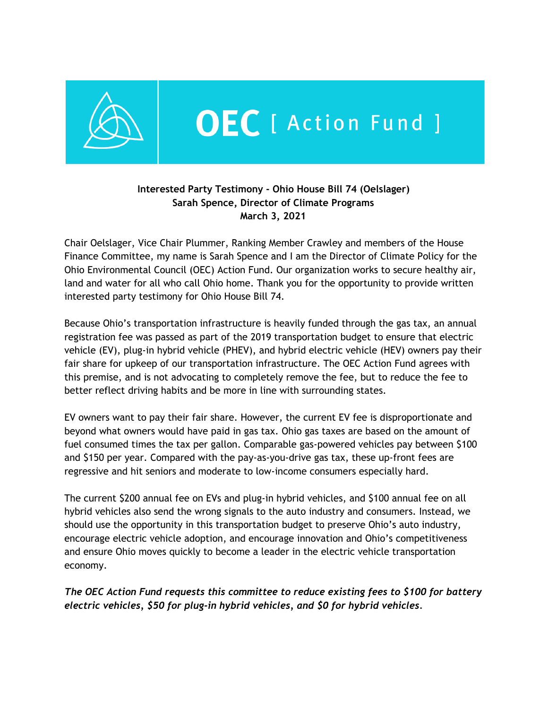

## **Interested Party Testimony - Ohio House Bill 74 (Oelslager) Sarah Spence, Director of Climate Programs March 3, 2021**

Chair Oelslager, Vice Chair Plummer, Ranking Member Crawley and members of the House Finance Committee, my name is Sarah Spence and I am the Director of Climate Policy for the Ohio Environmental Council (OEC) Action Fund. Our organization works to secure healthy air, land and water for all who call Ohio home. Thank you for the opportunity to provide written interested party testimony for Ohio House Bill 74.

Because Ohio's transportation infrastructure is heavily funded through the gas tax, an annual registration fee was passed as part of the 2019 transportation budget to ensure that electric vehicle (EV), plug-in hybrid vehicle (PHEV), and hybrid electric vehicle (HEV) owners pay their fair share for upkeep of our transportation infrastructure. The OEC Action Fund agrees with this premise, and is not advocating to completely remove the fee, but to reduce the fee to better reflect driving habits and be more in line with surrounding states.

EV owners want to pay their fair share. However, the current EV fee is disproportionate and beyond what owners would have paid in gas tax. Ohio gas taxes are based on the amount of fuel consumed times the tax per gallon. Comparable gas-powered vehicles pay between \$100 and \$150 per year. Compared with the pay-as-you-drive gas tax, these up-front fees are regressive and hit seniors and moderate to low-income consumers especially hard.

The current \$200 annual fee on EVs and plug-in hybrid vehicles, and \$100 annual fee on all hybrid vehicles also send the wrong signals to the auto industry and consumers. Instead, we should use the opportunity in this transportation budget to preserve Ohio's auto industry, encourage electric vehicle adoption, and encourage innovation and Ohio's competitiveness and ensure Ohio moves quickly to become a leader in the electric vehicle transportation economy.

*The OEC Action Fund requests this committee to reduce existing fees to \$100 for battery electric vehicles, \$50 for plug-in hybrid vehicles, and \$0 for hybrid vehicles.*